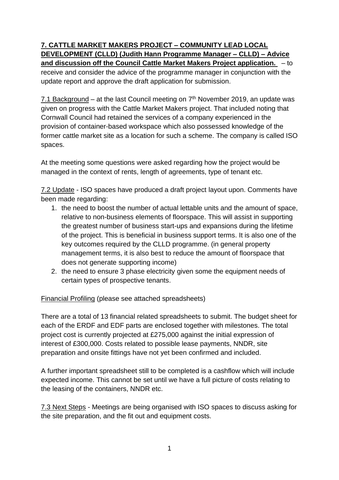## **7. CATTLE MARKET MAKERS PROJECT – COMMUNITY LEAD LOCAL DEVELOPMENT (CLLD) (Judith Hann Programme Manager – CLLD) – Advice and discussion off the Council Cattle Market Makers Project application.** – to

receive and consider the advice of the programme manager in conjunction with the update report and approve the draft application for submission.

7.1 Background – at the last Council meeting on  $7<sup>th</sup>$  November 2019, an update was given on progress with the Cattle Market Makers project. That included noting that Cornwall Council had retained the services of a company experienced in the provision of container-based workspace which also possessed knowledge of the former cattle market site as a location for such a scheme. The company is called ISO spaces.

At the meeting some questions were asked regarding how the project would be managed in the context of rents, length of agreements, type of tenant etc.

7.2 Update - ISO spaces have produced a draft project layout upon. Comments have been made regarding:

- 1. the need to boost the number of actual lettable units and the amount of space, relative to non-business elements of floorspace. This will assist in supporting the greatest number of business start-ups and expansions during the lifetime of the project. This is beneficial in business support terms. It is also one of the key outcomes required by the CLLD programme. (in general property management terms, it is also best to reduce the amount of floorspace that does not generate supporting income)
- 2. the need to ensure 3 phase electricity given some the equipment needs of certain types of prospective tenants.

## Financial Profiling (please see attached spreadsheets)

There are a total of 13 financial related spreadsheets to submit. The budget sheet for each of the ERDF and EDF parts are enclosed together with milestones. The total project cost is currently projected at £275,000 against the initial expression of interest of £300,000. Costs related to possible lease payments, NNDR, site preparation and onsite fittings have not yet been confirmed and included.

A further important spreadsheet still to be completed is a cashflow which will include expected income. This cannot be set until we have a full picture of costs relating to the leasing of the containers, NNDR etc.

7.3 Next Steps - Meetings are being organised with ISO spaces to discuss asking for the site preparation, and the fit out and equipment costs.